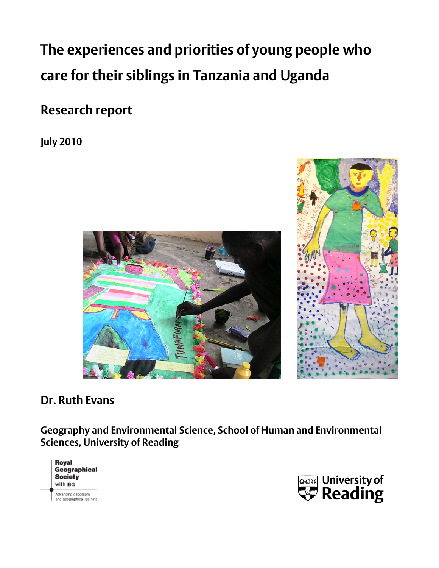**The experiences and priorities of young people who care for their siblings in Tanzania and Uganda** 

**Research report**

**July 2010** 





# **Dr. Ruth Evans**

**Geography and Environmental Science, School of Human and Environmental Sciences, University of Reading** 



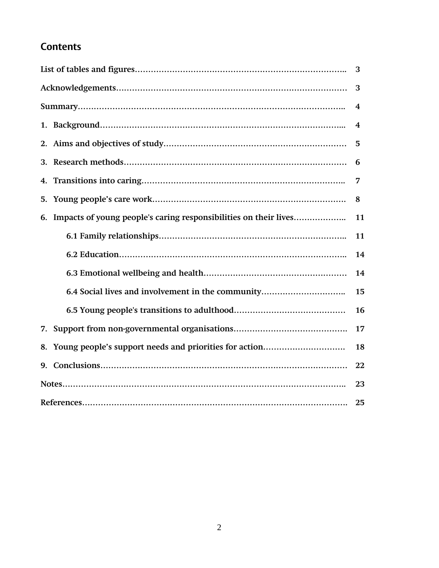# **Contents**

| 3                                                       |    |  |  |  |  |
|---------------------------------------------------------|----|--|--|--|--|
|                                                         |    |  |  |  |  |
| 4                                                       |    |  |  |  |  |
| 4                                                       |    |  |  |  |  |
| 5                                                       |    |  |  |  |  |
|                                                         | 6  |  |  |  |  |
| 4.                                                      | 7  |  |  |  |  |
| 5.                                                      | 8  |  |  |  |  |
| 6.                                                      | 11 |  |  |  |  |
| 11                                                      |    |  |  |  |  |
| 14                                                      |    |  |  |  |  |
| 14                                                      |    |  |  |  |  |
| 6.4 Social lives and involvement in the community<br>15 |    |  |  |  |  |
|                                                         | 16 |  |  |  |  |
| 17                                                      |    |  |  |  |  |
| 18                                                      |    |  |  |  |  |
| 22<br>9.                                                |    |  |  |  |  |
|                                                         | 23 |  |  |  |  |
| 25                                                      |    |  |  |  |  |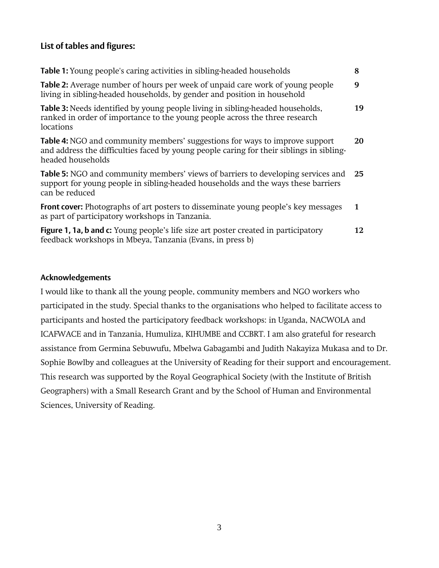# **List of tables and figures:**

| <b>Table 1:</b> Young people's caring activities in sibling-headed households                                                                                                                  | 8  |
|------------------------------------------------------------------------------------------------------------------------------------------------------------------------------------------------|----|
| <b>Table 2:</b> Average number of hours per week of unpaid care work of young people<br>living in sibling-headed households, by gender and position in household                               | 9  |
| <b>Table 3:</b> Needs identified by young people living in sibling-headed households,<br>ranked in order of importance to the young people across the three research<br>locations              | 19 |
| Table 4: NGO and community members' suggestions for ways to improve support<br>and address the difficulties faced by young people caring for their siblings in sibling-<br>headed households   | 20 |
| <b>Table 5:</b> NGO and community members' views of barriers to developing services and<br>support for young people in sibling-headed households and the ways these barriers<br>can be reduced | 25 |
| Front cover: Photographs of art posters to disseminate young people's key messages<br>as part of participatory workshops in Tanzania.                                                          | 1  |
| <b>Figure 1, 1a, b and c:</b> Young people's life size art poster created in participatory<br>feedback workshops in Mbeya, Tanzania (Evans, in press b)                                        | 12 |

### **Acknowledgements**

I would like to thank all the young people, community members and NGO workers who participated in the study. Special thanks to the organisations who helped to facilitate access to participants and hosted the participatory feedback workshops: in Uganda, NACWOLA and ICAFWACE and in Tanzania, Humuliza, KIHUMBE and CCBRT. I am also grateful for research assistance from Germina Sebuwufu, Mbelwa Gabagambi and Judith Nakayiza Mukasa and to Dr. Sophie Bowlby and colleagues at the University of Reading for their support and encouragement. This research was supported by the Royal Geographical Society (with the Institute of British Geographers) with a Small Research Grant and by the School of Human and Environmental Sciences, University of Reading.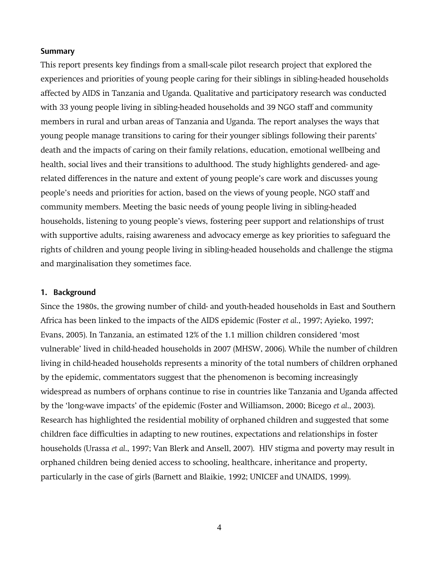### **Summary**

This report presents key findings from a small-scale pilot research project that explored the experiences and priorities of young people caring for their siblings in sibling-headed households affected by AIDS in Tanzania and Uganda. Qualitative and participatory research was conducted with 33 young people living in sibling-headed households and 39 NGO staff and community members in rural and urban areas of Tanzania and Uganda. The report analyses the ways that young people manage transitions to caring for their younger siblings following their parents' death and the impacts of caring on their family relations, education, emotional wellbeing and health, social lives and their transitions to adulthood. The study highlights gendered- and agerelated differences in the nature and extent of young people's care work and discusses young people's needs and priorities for action, based on the views of young people, NGO staff and community members. Meeting the basic needs of young people living in sibling-headed households, listening to young people's views, fostering peer support and relationships of trust with supportive adults, raising awareness and advocacy emerge as key priorities to safeguard the rights of children and young people living in sibling-headed households and challenge the stigma and marginalisation they sometimes face.

### **1. Background**

Since the 1980s, the growing number of child- and youth-headed households in East and Southern Africa has been linked to the impacts of the AIDS epidemic (Foster *et al*., 1997; Ayieko, 1997; Evans, 2005). In Tanzania, an estimated 12% of the 1.1 million children considered 'most vulnerable' lived in child-headed households in 2007 (MHSW, 2006). While the number of children living in child-headed households represents a minority of the total numbers of children orphaned by the epidemic, commentators suggest that the phenomenon is becoming increasingly widespread as numbers of orphans continue to rise in countries like Tanzania and Uganda affected by the 'long-wave impacts' of the epidemic (Foster and Williamson, 2000; Bicego *et al*., 2003). Research has highlighted the residential mobility of orphaned children and suggested that some children face difficulties in adapting to new routines, expectations and relationships in foster households (Urassa *et al*., 1997; Van Blerk and Ansell, 2007). HIV stigma and poverty may result in orphaned children being denied access to schooling, healthcare, inheritance and property, particularly in the case of girls (Barnett and Blaikie, 1992; UNICEF and UNAIDS, 1999).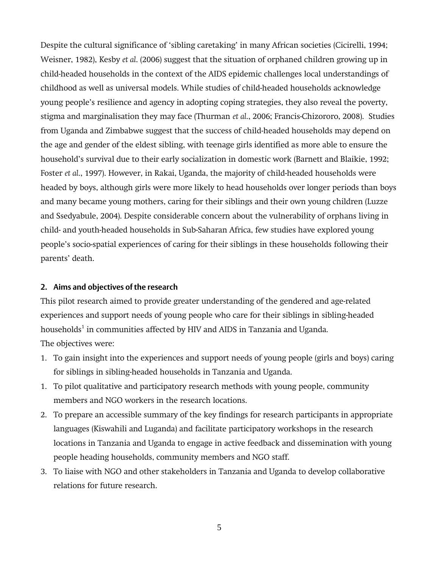Despite the cultural significance of 'sibling caretaking' in many African societies (Cicirelli, 1994; Weisner, 1982), Kesby *et al*. (2006) suggest that the situation of orphaned children growing up in child-headed households in the context of the AIDS epidemic challenges local understandings of childhood as well as universal models. While studies of child-headed households acknowledge young people's resilience and agency in adopting coping strategies, they also reveal the poverty, stigma and marginalisation they may face (Thurman *et al*., 2006; Francis-Chizororo, 2008). Studies from Uganda and Zimbabwe suggest that the success of child-headed households may depend on the age and gender of the eldest sibling, with teenage girls identified as more able to ensure the household's survival due to their early socialization in domestic work (Barnett and Blaikie, 1992; Foster *et al*., 1997). However, in Rakai, Uganda, the majority of child-headed households were headed by boys, although girls were more likely to head households over longer periods than boys and many became young mothers, caring for their siblings and their own young children (Luzze and Ssedyabule, 2004). Despite considerable concern about the vulnerability of orphans living in child- and youth-headed households in Sub-Saharan Africa, few studies have explored young people's socio-spatial experiences of caring for their siblings in these households following their parents' death.

### **2. Aims and objectives of the research**

This pilot research aimed to provide greater understanding of the gendered and age-related experiences and support needs of young people who care for their siblings in sibling-headed households<sup>1</sup> in communities affected by HIV and AIDS in Tanzania and Uganda. The objectives were:

- 1. To gain insight into the experiences and support needs of young people (girls and boys) caring for siblings in sibling-headed households in Tanzania and Uganda.
- 1. To pilot qualitative and participatory research methods with young people, community members and NGO workers in the research locations.
- 2. To prepare an accessible summary of the key findings for research participants in appropriate languages (Kiswahili and Luganda) and facilitate participatory workshops in the research locations in Tanzania and Uganda to engage in active feedback and dissemination with young people heading households, community members and NGO staff.
- 3. To liaise with NGO and other stakeholders in Tanzania and Uganda to develop collaborative relations for future research.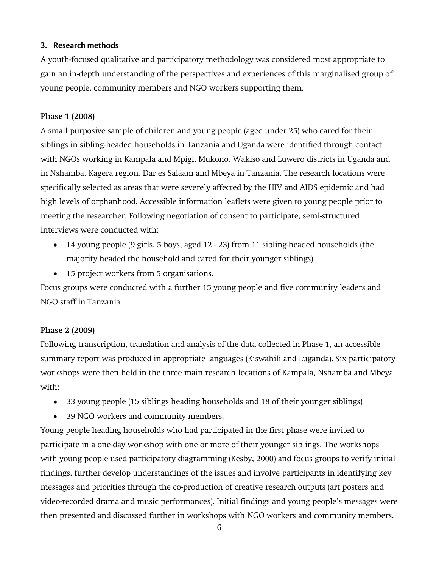## **3. Research methods**

A youth-focused qualitative and participatory methodology was considered most appropriate to gain an in-depth understanding of the perspectives and experiences of this marginalised group of young people, community members and NGO workers supporting them.

### **Phase 1 (2008)**

A small purposive sample of children and young people (aged under 25) who cared for their siblings in sibling-headed households in Tanzania and Uganda were identified through contact with NGOs working in Kampala and Mpigi, Mukono, Wakiso and Luwero districts in Uganda and in Nshamba, Kagera region, Dar es Salaam and Mbeya in Tanzania. The research locations were specifically selected as areas that were severely affected by the HIV and AIDS epidemic and had high levels of orphanhood. Accessible information leaflets were given to young people prior to meeting the researcher. Following negotiation of consent to participate, semi-structured interviews were conducted with:

- 14 young people (9 girls, 5 boys, aged 12 23) from 11 sibling-headed households (the majority headed the household and cared for their younger siblings)
- 15 project workers from 5 organisations.

Focus groups were conducted with a further 15 young people and five community leaders and NGO staff in Tanzania.

### **Phase 2 (2009)**

Following transcription, translation and analysis of the data collected in Phase 1, an accessible summary report was produced in appropriate languages (Kiswahili and Luganda). Six participatory workshops were then held in the three main research locations of Kampala, Nshamba and Mbeya with:

- 33 young people (15 siblings heading households and 18 of their younger siblings)
- $\bullet$ 39 NGO workers and community members.

Young people heading households who had participated in the first phase were invited to participate in a one-day workshop with one or more of their younger siblings. The workshops with young people used participatory diagramming (Kesby, 2000) and focus groups to verify initial findings, further develop understandings of the issues and involve participants in identifying key messages and priorities through the co-production of creative research outputs (art posters and video-recorded drama and music performances). Initial findings and young people's messages were then presented and discussed further in workshops with NGO workers and community members.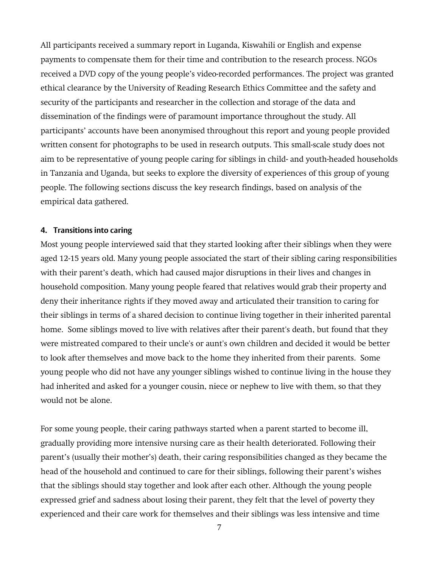All participants received a summary report in Luganda, Kiswahili or English and expense payments to compensate them for their time and contribution to the research process. NGOs received a DVD copy of the young people's video-recorded performances. The project was granted ethical clearance by the University of Reading Research Ethics Committee and the safety and security of the participants and researcher in the collection and storage of the data and dissemination of the findings were of paramount importance throughout the study. All participants' accounts have been anonymised throughout this report and young people provided written consent for photographs to be used in research outputs. This small-scale study does not aim to be representative of young people caring for siblings in child- and youth-headed households in Tanzania and Uganda, but seeks to explore the diversity of experiences of this group of young people. The following sections discuss the key research findings, based on analysis of the empirical data gathered.

### **4. Transitions into caring**

Most young people interviewed said that they started looking after their siblings when they were aged 12-15 years old. Many young people associated the start of their sibling caring responsibilities with their parent's death, which had caused major disruptions in their lives and changes in household composition. Many young people feared that relatives would grab their property and deny their inheritance rights if they moved away and articulated their transition to caring for their siblings in terms of a shared decision to continue living together in their inherited parental home. Some siblings moved to live with relatives after their parent's death, but found that they were mistreated compared to their uncle's or aunt's own children and decided it would be better to look after themselves and move back to the home they inherited from their parents. Some young people who did not have any younger siblings wished to continue living in the house they had inherited and asked for a younger cousin, niece or nephew to live with them, so that they would not be alone.

For some young people, their caring pathways started when a parent started to become ill, gradually providing more intensive nursing care as their health deteriorated. Following their parent's (usually their mother's) death, their caring responsibilities changed as they became the head of the household and continued to care for their siblings, following their parent's wishes that the siblings should stay together and look after each other. Although the young people expressed grief and sadness about losing their parent, they felt that the level of poverty they experienced and their care work for themselves and their siblings was less intensive and time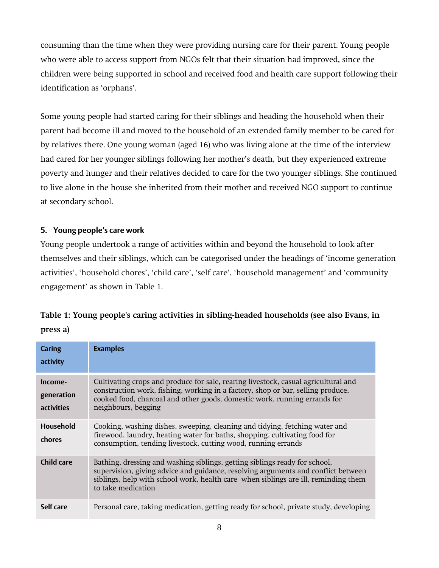consuming than the time when they were providing nursing care for their parent. Young people who were able to access support from NGOs felt that their situation had improved, since the children were being supported in school and received food and health care support following their identification as 'orphans'.

Some young people had started caring for their siblings and heading the household when their parent had become ill and moved to the household of an extended family member to be cared for by relatives there. One young woman (aged 16) who was living alone at the time of the interview had cared for her younger siblings following her mother's death, but they experienced extreme poverty and hunger and their relatives decided to care for the two younger siblings. She continued to live alone in the house she inherited from their mother and received NGO support to continue at secondary school.

# **5. Young people's care work**

Young people undertook a range of activities within and beyond the household to look after themselves and their siblings, which can be categorised under the headings of 'income generation activities', 'household chores', 'child care', 'self care', 'household management' and 'community engagement' as shown in Table 1.

| Table 1: Young people's caring activities in sibling-headed households (see also Evans, in |  |
|--------------------------------------------------------------------------------------------|--|
| press a)                                                                                   |  |

| <b>Caring</b><br>activity           | <b>Examples</b>                                                                                                                                                                                                                                                             |
|-------------------------------------|-----------------------------------------------------------------------------------------------------------------------------------------------------------------------------------------------------------------------------------------------------------------------------|
| Income-<br>generation<br>activities | Cultivating crops and produce for sale, rearing livestock, casual agricultural and<br>construction work, fishing, working in a factory, shop or bar, selling produce,<br>cooked food, charcoal and other goods, domestic work, running errands for<br>neighbours, begging   |
| Household<br>chores                 | Cooking, washing dishes, sweeping, cleaning and tidying, fetching water and<br>firewood, laundry, heating water for baths, shopping, cultivating food for<br>consumption, tending livestock, cutting wood, running errands                                                  |
| Child care                          | Bathing, dressing and washing siblings, getting siblings ready for school,<br>supervision, giving advice and guidance, resolving arguments and conflict between<br>siblings, help with school work, health care when siblings are ill, reminding them<br>to take medication |
| Self care                           | Personal care, taking medication, getting ready for school, private study, developing                                                                                                                                                                                       |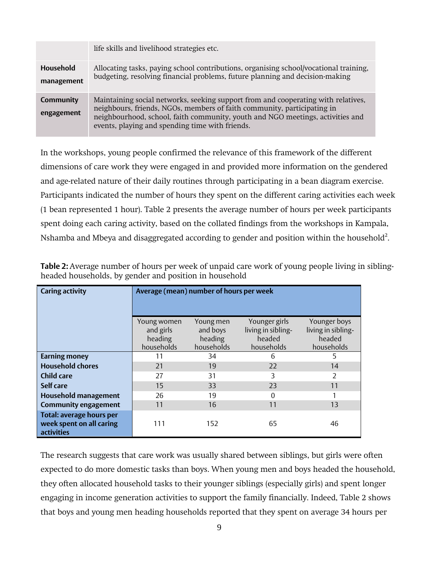|                                | life skills and livelihood strategies etc.                                                                                                                                                                                                                                                        |
|--------------------------------|---------------------------------------------------------------------------------------------------------------------------------------------------------------------------------------------------------------------------------------------------------------------------------------------------|
| <b>Household</b><br>management | Allocating tasks, paying school contributions, organising school/vocational training,<br>budgeting, resolving financial problems, future planning and decision-making                                                                                                                             |
| <b>Community</b><br>engagement | Maintaining social networks, seeking support from and cooperating with relatives,<br>neighbours, friends, NGOs, members of faith community, participating in<br>neighbourhood, school, faith community, youth and NGO meetings, activities and<br>events, playing and spending time with friends. |

In the workshops, young people confirmed the relevance of this framework of the different dimensions of care work they were engaged in and provided more information on the gendered and age-related nature of their daily routines through participating in a bean diagram exercise. Participants indicated the number of hours they spent on the different caring activities each week (1 bean represented 1 hour). Table 2 presents the average number of hours per week participants spent doing each caring activity, based on the collated findings from the workshops in Kampala, Nshamba and Mbeya and disaggregated according to gender and position within the household $^2$ .

| <b>Caring activity</b>                                                    | Average (mean) number of hours per week           |                                                |                                                             |                                                            |
|---------------------------------------------------------------------------|---------------------------------------------------|------------------------------------------------|-------------------------------------------------------------|------------------------------------------------------------|
|                                                                           | Young women<br>and girls<br>heading<br>households | Young men<br>and boys<br>heading<br>households | Younger girls<br>living in sibling-<br>headed<br>households | Younger boys<br>living in sibling-<br>headed<br>households |
| <b>Earning money</b>                                                      | 11                                                | 34                                             | 6                                                           | 5                                                          |
| <b>Household chores</b>                                                   | 21                                                | 19                                             | 22                                                          | 14                                                         |
| <b>Child care</b>                                                         | 27                                                | 31                                             | 3                                                           | 2                                                          |
| Self care                                                                 | 15                                                | 33                                             | 23                                                          | 11                                                         |
| <b>Household management</b>                                               | 26                                                | 19                                             | $\Omega$                                                    |                                                            |
| <b>Community engagement</b>                                               | 11                                                | 16                                             | 11                                                          | 13                                                         |
| <b>Total: average hours per</b><br>week spent on all caring<br>activities | 111                                               | 152                                            | 65                                                          | 46                                                         |

**Table 2:** Average number of hours per week of unpaid care work of young people living in siblingheaded households, by gender and position in household

The research suggests that care work was usually shared between siblings, but girls were often expected to do more domestic tasks than boys. When young men and boys headed the household, they often allocated household tasks to their younger siblings (especially girls) and spent longer engaging in income generation activities to support the family financially. Indeed, Table 2 shows that boys and young men heading households reported that they spent on average 34 hours per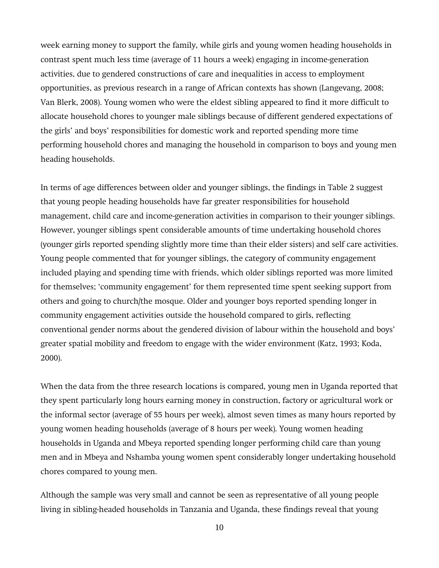week earning money to support the family, while girls and young women heading households in contrast spent much less time (average of 11 hours a week) engaging in income-generation activities, due to gendered constructions of care and inequalities in access to employment opportunities, as previous research in a range of African contexts has shown (Langevang, 2008; Van Blerk, 2008). Young women who were the eldest sibling appeared to find it more difficult to allocate household chores to younger male siblings because of different gendered expectations of the girls' and boys' responsibilities for domestic work and reported spending more time performing household chores and managing the household in comparison to boys and young men heading households.

In terms of age differences between older and younger siblings, the findings in Table 2 suggest that young people heading households have far greater responsibilities for household management, child care and income-generation activities in comparison to their younger siblings. However, younger siblings spent considerable amounts of time undertaking household chores (younger girls reported spending slightly more time than their elder sisters) and self care activities. Young people commented that for younger siblings, the category of community engagement included playing and spending time with friends, which older siblings reported was more limited for themselves; 'community engagement' for them represented time spent seeking support from others and going to church/the mosque. Older and younger boys reported spending longer in community engagement activities outside the household compared to girls, reflecting conventional gender norms about the gendered division of labour within the household and boys' greater spatial mobility and freedom to engage with the wider environment (Katz, 1993; Koda, 2000).

When the data from the three research locations is compared, young men in Uganda reported that they spent particularly long hours earning money in construction, factory or agricultural work or the informal sector (average of 55 hours per week), almost seven times as many hours reported by young women heading households (average of 8 hours per week). Young women heading households in Uganda and Mbeya reported spending longer performing child care than young men and in Mbeya and Nshamba young women spent considerably longer undertaking household chores compared to young men.

Although the sample was very small and cannot be seen as representative of all young people living in sibling-headed households in Tanzania and Uganda, these findings reveal that young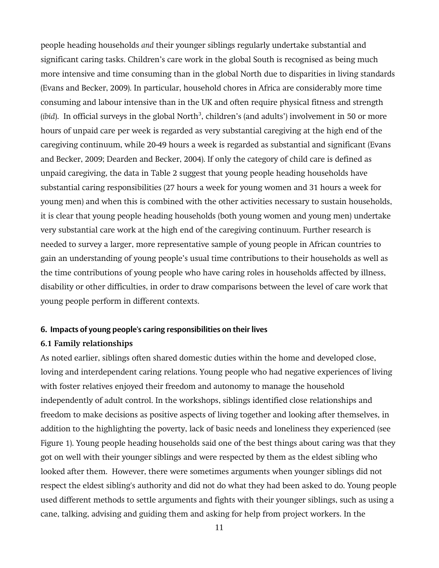people heading households *and* their younger siblings regularly undertake substantial and significant caring tasks. Children's care work in the global South is recognised as being much more intensive and time consuming than in the global North due to disparities in living standards (Evans and Becker, 2009). In particular, household chores in Africa are considerably more time consuming and labour intensive than in the UK and often require physical fitness and strength (*ibid*). In official surveys in the global North<sup>3</sup>, children's (and adults') involvement in 50 or more hours of unpaid care per week is regarded as very substantial caregiving at the high end of the caregiving continuum, while 20-49 hours a week is regarded as substantial and significant (Evans and Becker, 2009; Dearden and Becker, 2004). If only the category of child care is defined as unpaid caregiving, the data in Table 2 suggest that young people heading households have substantial caring responsibilities (27 hours a week for young women and 31 hours a week for young men) and when this is combined with the other activities necessary to sustain households, it is clear that young people heading households (both young women and young men) undertake very substantial care work at the high end of the caregiving continuum. Further research is needed to survey a larger, more representative sample of young people in African countries to gain an understanding of young people's usual time contributions to their households as well as the time contributions of young people who have caring roles in households affected by illness, disability or other difficulties, in order to draw comparisons between the level of care work that young people perform in different contexts.

### **6. Impacts of young people's caring responsibilities on their lives**

### **6.1 Family relationships**

As noted earlier, siblings often shared domestic duties within the home and developed close, loving and interdependent caring relations. Young people who had negative experiences of living with foster relatives enjoyed their freedom and autonomy to manage the household independently of adult control. In the workshops, siblings identified close relationships and freedom to make decisions as positive aspects of living together and looking after themselves, in addition to the highlighting the poverty, lack of basic needs and loneliness they experienced (see Figure 1). Young people heading households said one of the best things about caring was that they got on well with their younger siblings and were respected by them as the eldest sibling who looked after them. However, there were sometimes arguments when younger siblings did not respect the eldest sibling's authority and did not do what they had been asked to do. Young people used different methods to settle arguments and fights with their younger siblings, such as using a cane, talking, advising and guiding them and asking for help from project workers. In the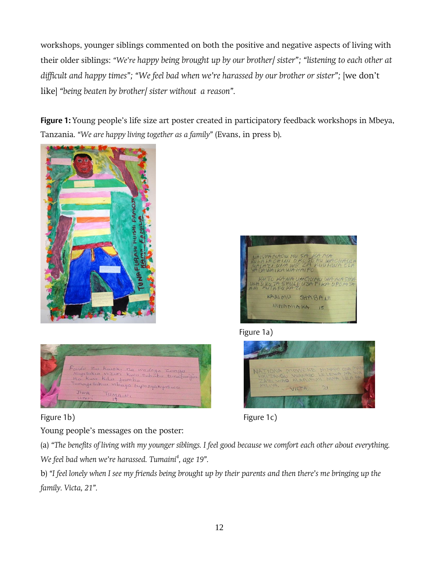workshops, younger siblings commented on both the positive and negative aspects of living with their older siblings: *'We're happy being brought up by our brother/ sister'; 'listening to each other at difficult and happy times";* "We feel bad when we're harassed by our brother or sister"; [we don't like] *'being beaten by brother/ sister without a reason'.* 

**Figure 1:** Young people's life size art poster created in participatory feedback workshops in Mbeya, Tanzania. *'We are happy living together as a family'* (Evans, in press b).





Young people's messages on the poster:



Figure 1a)





(a) *'The benefits of living with my younger siblings. I feel good because we comfort each other about everything. We feel bad when we're harassed. Tumaini<sup>4</sup> , age 19'.*

b) *'I feel lonely when I see my friends being brought up by their parents and then there's me bringing up the family. Victa, 21'.*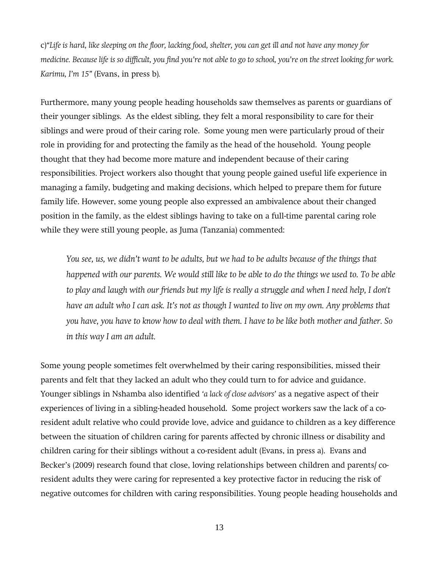c)*'Life is hard, like sleeping on the floor, lacking food, shelter, you can get ill and not have any money for medicine. Because life is so difficult, you find you're not able to go to school, you're on the street looking for work. Karimu, I'm 15'* (Evans, in press b)*.* 

Furthermore, many young people heading households saw themselves as parents or guardians of their younger siblings. As the eldest sibling, they felt a moral responsibility to care for their siblings and were proud of their caring role. Some young men were particularly proud of their role in providing for and protecting the family as the head of the household. Young people thought that they had become more mature and independent because of their caring responsibilities. Project workers also thought that young people gained useful life experience in managing a family, budgeting and making decisions, which helped to prepare them for future family life. However, some young people also expressed an ambivalence about their changed position in the family, as the eldest siblings having to take on a full-time parental caring role while they were still young people, as Juma (Tanzania) commented:

*You see, us, we didn't want to be adults, but we had to be adults because of the things that happened with our parents. We would still like to be able to do the things we used to. To be able to play and laugh with our friends but my life is really a struggle and when I need help, I don't have an adult who I can ask. It's not as though I wanted to live on my own. Any problems that you have, you have to know how to deal with them. I have to be like both mother and father. So in this way I am an adult.*

Some young people sometimes felt overwhelmed by their caring responsibilities, missed their parents and felt that they lacked an adult who they could turn to for advice and guidance. Younger siblings in Nshamba also identified *'a lack of close advisors'* as a negative aspect of their experiences of living in a sibling-headed household. Some project workers saw the lack of a coresident adult relative who could provide love, advice and guidance to children as a key difference between the situation of children caring for parents affected by chronic illness or disability and children caring for their siblings without a co-resident adult (Evans, in press a). Evans and Becker's (2009) research found that close, loving relationships between children and parents/ coresident adults they were caring for represented a key protective factor in reducing the risk of negative outcomes for children with caring responsibilities. Young people heading households and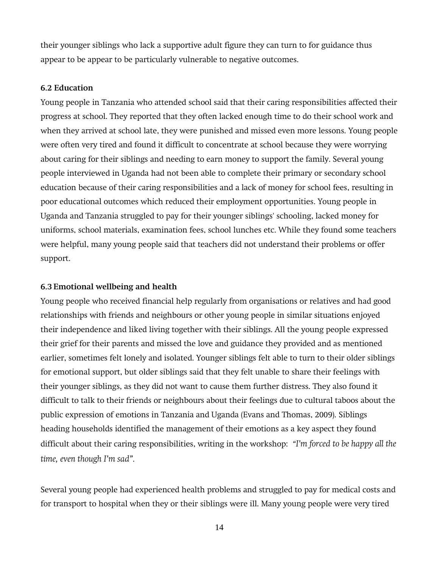their younger siblings who lack a supportive adult figure they can turn to for guidance thus appear to be appear to be particularly vulnerable to negative outcomes.

### **6.2 Education**

Young people in Tanzania who attended school said that their caring responsibilities affected their progress at school. They reported that they often lacked enough time to do their school work and when they arrived at school late, they were punished and missed even more lessons. Young people were often very tired and found it difficult to concentrate at school because they were worrying about caring for their siblings and needing to earn money to support the family. Several young people interviewed in Uganda had not been able to complete their primary or secondary school education because of their caring responsibilities and a lack of money for school fees, resulting in poor educational outcomes which reduced their employment opportunities. Young people in Uganda and Tanzania struggled to pay for their younger siblings' schooling, lacked money for uniforms, school materials, examination fees, school lunches etc. While they found some teachers were helpful, many young people said that teachers did not understand their problems or offer support.

### **6.3 Emotional wellbeing and health**

Young people who received financial help regularly from organisations or relatives and had good relationships with friends and neighbours or other young people in similar situations enjoyed their independence and liked living together with their siblings. All the young people expressed their grief for their parents and missed the love and guidance they provided and as mentioned earlier, sometimes felt lonely and isolated. Younger siblings felt able to turn to their older siblings for emotional support, but older siblings said that they felt unable to share their feelings with their younger siblings, as they did not want to cause them further distress. They also found it difficult to talk to their friends or neighbours about their feelings due to cultural taboos about the public expression of emotions in Tanzania and Uganda (Evans and Thomas, 2009). Siblings heading households identified the management of their emotions as a key aspect they found difficult about their caring responsibilities, writing in the workshop: *'I'm forced to be happy all the time, even though I'm sad'.* 

Several young people had experienced health problems and struggled to pay for medical costs and for transport to hospital when they or their siblings were ill. Many young people were very tired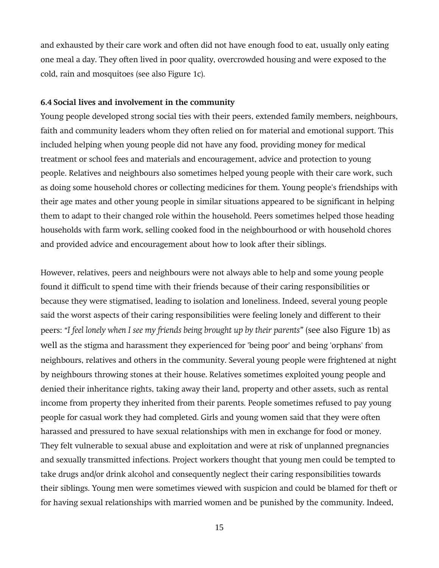and exhausted by their care work and often did not have enough food to eat, usually only eating one meal a day. They often lived in poor quality, overcrowded housing and were exposed to the cold, rain and mosquitoes (see also Figure 1c).

### **6.4 Social lives and involvement in the community**

Young people developed strong social ties with their peers, extended family members, neighbours, faith and community leaders whom they often relied on for material and emotional support. This included helping when young people did not have any food, providing money for medical treatment or school fees and materials and encouragement, advice and protection to young people. Relatives and neighbours also sometimes helped young people with their care work, such as doing some household chores or collecting medicines for them. Young people's friendships with their age mates and other young people in similar situations appeared to be significant in helping them to adapt to their changed role within the household. Peers sometimes helped those heading households with farm work, selling cooked food in the neighbourhood or with household chores and provided advice and encouragement about how to look after their siblings.

However, relatives, peers and neighbours were not always able to help and some young people found it difficult to spend time with their friends because of their caring responsibilities or because they were stigmatised, leading to isolation and loneliness. Indeed, several young people said the worst aspects of their caring responsibilities were feeling lonely and different to their peers: *'I feel lonely when I see my friends being brought up by their parents'* (see also Figure 1b) as well as the stigma and harassment they experienced for 'being poor' and being 'orphans' from neighbours, relatives and others in the community. Several young people were frightened at night by neighbours throwing stones at their house. Relatives sometimes exploited young people and denied their inheritance rights, taking away their land, property and other assets, such as rental income from property they inherited from their parents. People sometimes refused to pay young people for casual work they had completed. Girls and young women said that they were often harassed and pressured to have sexual relationships with men in exchange for food or money. They felt vulnerable to sexual abuse and exploitation and were at risk of unplanned pregnancies and sexually transmitted infections. Project workers thought that young men could be tempted to take drugs and/or drink alcohol and consequently neglect their caring responsibilities towards their siblings. Young men were sometimes viewed with suspicion and could be blamed for theft or for having sexual relationships with married women and be punished by the community. Indeed,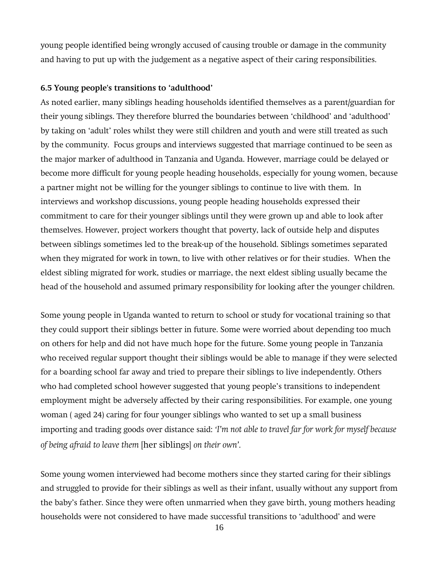young people identified being wrongly accused of causing trouble or damage in the community and having to put up with the judgement as a negative aspect of their caring responsibilities.

### **6.5 Young people's transitions to 'adulthood'**

As noted earlier, many siblings heading households identified themselves as a parent/guardian for their young siblings. They therefore blurred the boundaries between 'childhood' and 'adulthood' by taking on 'adult' roles whilst they were still children and youth and were still treated as such by the community. Focus groups and interviews suggested that marriage continued to be seen as the major marker of adulthood in Tanzania and Uganda. However, marriage could be delayed or become more difficult for young people heading households, especially for young women, because a partner might not be willing for the younger siblings to continue to live with them. In interviews and workshop discussions, young people heading households expressed their commitment to care for their younger siblings until they were grown up and able to look after themselves. However, project workers thought that poverty, lack of outside help and disputes between siblings sometimes led to the break-up of the household. Siblings sometimes separated when they migrated for work in town, to live with other relatives or for their studies. When the eldest sibling migrated for work, studies or marriage, the next eldest sibling usually became the head of the household and assumed primary responsibility for looking after the younger children.

Some young people in Uganda wanted to return to school or study for vocational training so that they could support their siblings better in future. Some were worried about depending too much on others for help and did not have much hope for the future. Some young people in Tanzania who received regular support thought their siblings would be able to manage if they were selected for a boarding school far away and tried to prepare their siblings to live independently. Others who had completed school however suggested that young people's transitions to independent employment might be adversely affected by their caring responsibilities. For example, one young woman ( aged 24) caring for four younger siblings who wanted to set up a small business importing and trading goods over distance said: *'I'm not able to travel far for work for myself because of being afraid to leave them* [her siblings] *on their own'.*

Some young women interviewed had become mothers since they started caring for their siblings and struggled to provide for their siblings as well as their infant, usually without any support from the baby's father. Since they were often unmarried when they gave birth, young mothers heading households were not considered to have made successful transitions to 'adulthood' and were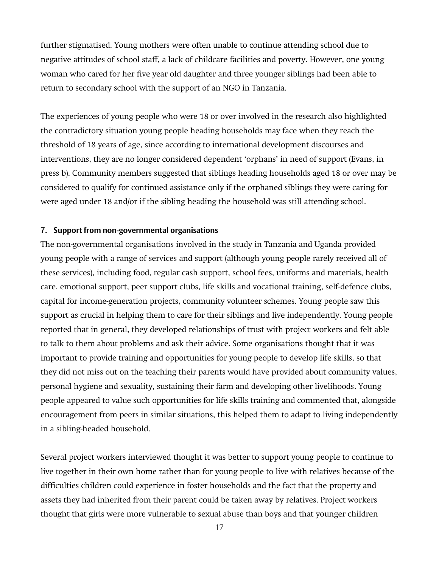further stigmatised. Young mothers were often unable to continue attending school due to negative attitudes of school staff, a lack of childcare facilities and poverty. However, one young woman who cared for her five year old daughter and three younger siblings had been able to return to secondary school with the support of an NGO in Tanzania.

The experiences of young people who were 18 or over involved in the research also highlighted the contradictory situation young people heading households may face when they reach the threshold of 18 years of age, since according to international development discourses and interventions, they are no longer considered dependent 'orphans' in need of support (Evans, in press b). Community members suggested that siblings heading households aged 18 or over may be considered to qualify for continued assistance only if the orphaned siblings they were caring for were aged under 18 and/or if the sibling heading the household was still attending school.

### **7. Support from non-governmental organisations**

The non-governmental organisations involved in the study in Tanzania and Uganda provided young people with a range of services and support (although young people rarely received all of these services), including food, regular cash support, school fees, uniforms and materials, health care, emotional support, peer support clubs, life skills and vocational training, self-defence clubs, capital for income-generation projects, community volunteer schemes. Young people saw this support as crucial in helping them to care for their siblings and live independently. Young people reported that in general, they developed relationships of trust with project workers and felt able to talk to them about problems and ask their advice. Some organisations thought that it was important to provide training and opportunities for young people to develop life skills, so that they did not miss out on the teaching their parents would have provided about community values, personal hygiene and sexuality, sustaining their farm and developing other livelihoods. Young people appeared to value such opportunities for life skills training and commented that, alongside encouragement from peers in similar situations, this helped them to adapt to living independently in a sibling-headed household.

Several project workers interviewed thought it was better to support young people to continue to live together in their own home rather than for young people to live with relatives because of the difficulties children could experience in foster households and the fact that the property and assets they had inherited from their parent could be taken away by relatives. Project workers thought that girls were more vulnerable to sexual abuse than boys and that younger children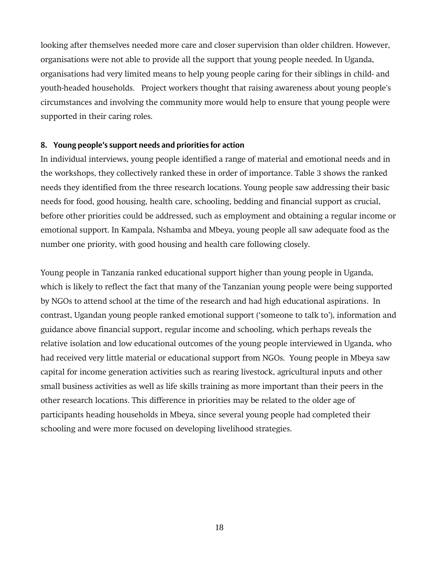looking after themselves needed more care and closer supervision than older children. However, organisations were not able to provide all the support that young people needed. In Uganda, organisations had very limited means to help young people caring for their siblings in child- and youth-headed households. Project workers thought that raising awareness about young people's circumstances and involving the community more would help to ensure that young people were supported in their caring roles.

### **8. Young people's support needs and priorities for action**

In individual interviews, young people identified a range of material and emotional needs and in the workshops, they collectively ranked these in order of importance. Table 3 shows the ranked needs they identified from the three research locations. Young people saw addressing their basic needs for food, good housing, health care, schooling, bedding and financial support as crucial, before other priorities could be addressed, such as employment and obtaining a regular income or emotional support. In Kampala, Nshamba and Mbeya, young people all saw adequate food as the number one priority, with good housing and health care following closely.

Young people in Tanzania ranked educational support higher than young people in Uganda, which is likely to reflect the fact that many of the Tanzanian young people were being supported by NGOs to attend school at the time of the research and had high educational aspirations. In contrast, Ugandan young people ranked emotional support ('someone to talk to'), information and guidance above financial support, regular income and schooling, which perhaps reveals the relative isolation and low educational outcomes of the young people interviewed in Uganda, who had received very little material or educational support from NGOs. Young people in Mbeya saw capital for income generation activities such as rearing livestock, agricultural inputs and other small business activities as well as life skills training as more important than their peers in the other research locations. This difference in priorities may be related to the older age of participants heading households in Mbeya, since several young people had completed their schooling and were more focused on developing livelihood strategies.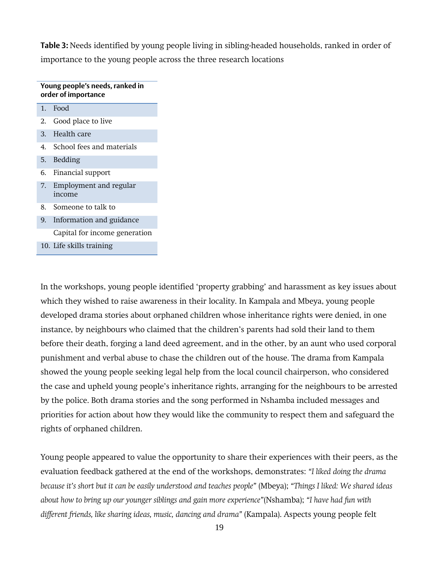**Table 3:** Needs identified by young people living in sibling-headed households, ranked in order of importance to the young people across the three research locations

| Young people's needs, ranked in<br>order of importance |                                  |  |
|--------------------------------------------------------|----------------------------------|--|
| 1.                                                     | Food                             |  |
| 2.                                                     | Good place to live               |  |
|                                                        | 3. Health care                   |  |
|                                                        | 4. School fees and materials     |  |
| 5.                                                     | Bedding                          |  |
| 6.                                                     | Financial support                |  |
| 7.                                                     | Employment and regular<br>income |  |
| 8.                                                     | Someone to talk to               |  |
| 9.                                                     | Information and guidance         |  |
|                                                        | Capital for income generation    |  |

10. Life skills training

rights of orphaned children.

In the workshops, young people identified 'property grabbing' and harassment as key issues about which they wished to raise awareness in their locality. In Kampala and Mbeya, young people developed drama stories about orphaned children whose inheritance rights were denied, in one instance, by neighbours who claimed that the children's parents had sold their land to them before their death, forging a land deed agreement, and in the other, by an aunt who used corporal punishment and verbal abuse to chase the children out of the house. The drama from Kampala showed the young people seeking legal help from the local council chairperson, who considered the case and upheld young people's inheritance rights, arranging for the neighbours to be arrested by the police. Both drama stories and the song performed in Nshamba included messages and priorities for action about how they would like the community to respect them and safeguard the

Young people appeared to value the opportunity to share their experiences with their peers, as the evaluation feedback gathered at the end of the workshops, demonstrates: *'I liked doing the drama because it's short but it can be easily understood and teaches people'* (Mbeya); *'Things I liked: We shared ideas about how to bring up our younger siblings and gain more experience'*(Nshamba); *'I have had fun with different friends, like sharing ideas, music, dancing and drama'* (Kampala). Aspects young people felt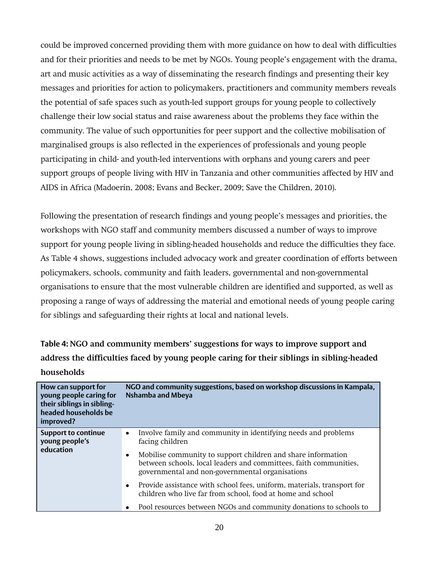could be improved concerned providing them with more guidance on how to deal with difficulties and for their priorities and needs to be met by NGOs. Young people's engagement with the drama, art and music activities as a way of disseminating the research findings and presenting their key messages and priorities for action to policymakers, practitioners and community members reveals the potential of safe spaces such as youth-led support groups for young people to collectively challenge their low social status and raise awareness about the problems they face within the community. The value of such opportunities for peer support and the collective mobilisation of marginalised groups is also reflected in the experiences of professionals and young people participating in child- and youth-led interventions with orphans and young carers and peer support groups of people living with HIV in Tanzania and other communities affected by HIV and AIDS in Africa (Madoerin, 2008; Evans and Becker, 2009; Save the Children, 2010).

Following the presentation of research findings and young people's messages and priorities, the workshops with NGO staff and community members discussed a number of ways to improve support for young people living in sibling-headed households and reduce the difficulties they face. As Table 4 shows, suggestions included advocacy work and greater coordination of efforts between policymakers, schools, community and faith leaders, governmental and non-governmental organisations to ensure that the most vulnerable children are identified and supported, as well as proposing a range of ways of addressing the material and emotional needs of young people caring for siblings and safeguarding their rights at local and national levels.

**Table 4: NGO and community members' suggestions for ways to improve support and address the difficulties faced by young people caring for their siblings in sibling-headed households** 

| How can support for<br>young people caring for<br>their siblings in sibling-<br>headed households be<br>improved? | NGO and community suggestions, based on workshop discussions in Kampala,<br><b>Nshamba and Mbeya</b>                                                                                                                                                                                                |  |
|-------------------------------------------------------------------------------------------------------------------|-----------------------------------------------------------------------------------------------------------------------------------------------------------------------------------------------------------------------------------------------------------------------------------------------------|--|
| <b>Support to continue</b><br>young people's<br>education                                                         | Involve family and community in identifying needs and problems<br>$\bullet$<br>facing children<br>Mobilise community to support children and share information<br>$\bullet$<br>between schools, local leaders and committees, faith communities,<br>governmental and non-governmental organisations |  |
|                                                                                                                   | Provide assistance with school fees, uniform, materials, transport for<br>$\bullet$<br>children who live far from school, food at home and school<br>Pool resources between NGOs and community donations to schools to                                                                              |  |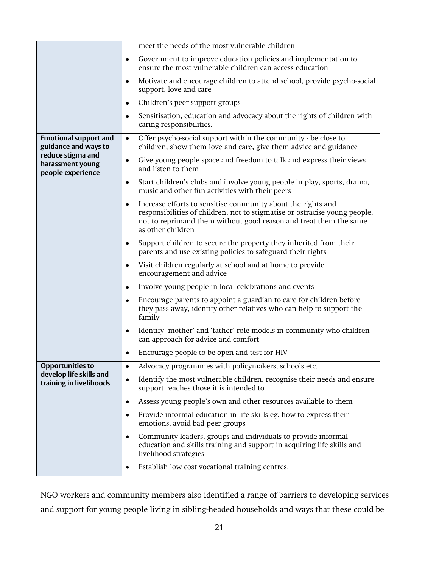|                                                            | meet the needs of the most vulnerable children                                                                                                                                                                                                    |
|------------------------------------------------------------|---------------------------------------------------------------------------------------------------------------------------------------------------------------------------------------------------------------------------------------------------|
|                                                            | Government to improve education policies and implementation to<br>٠<br>ensure the most vulnerable children can access education                                                                                                                   |
|                                                            | Motivate and encourage children to attend school, provide psycho-social<br>٠<br>support, love and care                                                                                                                                            |
|                                                            | Children's peer support groups<br>٠                                                                                                                                                                                                               |
|                                                            | Sensitisation, education and advocacy about the rights of children with<br>٠<br>caring responsibilities.                                                                                                                                          |
| <b>Emotional support and</b><br>guidance and ways to       | Offer psycho-social support within the community - be close to<br>$\bullet$<br>children, show them love and care, give them advice and guidance                                                                                                   |
| reduce stigma and<br>harassment young<br>people experience | Give young people space and freedom to talk and express their views<br>٠<br>and listen to them                                                                                                                                                    |
|                                                            | Start children's clubs and involve young people in play, sports, drama,<br>٠<br>music and other fun activities with their peers                                                                                                                   |
|                                                            | Increase efforts to sensitise community about the rights and<br>$\bullet$<br>responsibilities of children, not to stigmatise or ostracise young people,<br>not to reprimand them without good reason and treat them the same<br>as other children |
|                                                            | Support children to secure the property they inherited from their<br>٠<br>parents and use existing policies to safeguard their rights                                                                                                             |
|                                                            | Visit children regularly at school and at home to provide<br>٠<br>encouragement and advice                                                                                                                                                        |
|                                                            | Involve young people in local celebrations and events<br>٠                                                                                                                                                                                        |
|                                                            | Encourage parents to appoint a guardian to care for children before<br>٠<br>they pass away, identify other relatives who can help to support the<br>family                                                                                        |
|                                                            | Identify 'mother' and 'father' role models in community who children<br>٠<br>can approach for advice and comfort                                                                                                                                  |
|                                                            | Encourage people to be open and test for HIV                                                                                                                                                                                                      |
| <b>Opportunities to</b>                                    | Advocacy programmes with policymakers, schools etc.<br>$\bullet$                                                                                                                                                                                  |
| develop life skills and<br>training in livelihoods         | Identify the most vulnerable children, recognise their needs and ensure<br>$\bullet$<br>support reaches those it is intended to                                                                                                                   |
|                                                            | Assess young people's own and other resources available to them<br>٠                                                                                                                                                                              |
|                                                            | Provide informal education in life skills eg. how to express their<br>$\bullet$<br>emotions, avoid bad peer groups                                                                                                                                |
|                                                            | Community leaders, groups and individuals to provide informal<br>٠<br>education and skills training and support in acquiring life skills and<br>livelihood strategies                                                                             |
|                                                            | Establish low cost vocational training centres.<br>٠                                                                                                                                                                                              |

NGO workers and community members also identified a range of barriers to developing services and support for young people living in sibling-headed households and ways that these could be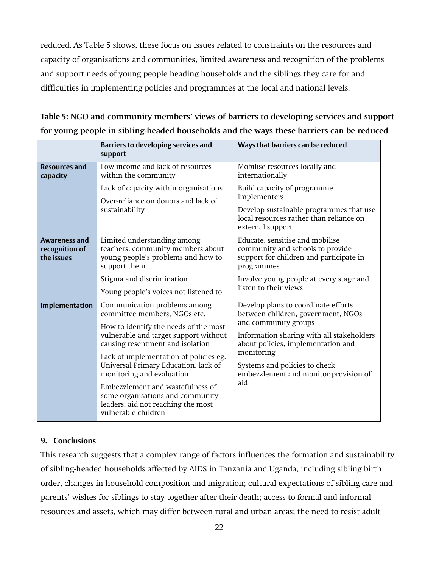reduced. As Table 5 shows, these focus on issues related to constraints on the resources and capacity of organisations and communities, limited awareness and recognition of the problems and support needs of young people heading households and the siblings they care for and difficulties in implementing policies and programmes at the local and national levels.

|                                                      | <b>Barriers to developing services and</b><br>support                                                                                                                                                                                                                                                                                                                                                                                  | Ways that barriers can be reduced                                                                                                                                                                                                                                                   |
|------------------------------------------------------|----------------------------------------------------------------------------------------------------------------------------------------------------------------------------------------------------------------------------------------------------------------------------------------------------------------------------------------------------------------------------------------------------------------------------------------|-------------------------------------------------------------------------------------------------------------------------------------------------------------------------------------------------------------------------------------------------------------------------------------|
| <b>Resources and</b><br>capacity                     | Low income and lack of resources<br>within the community                                                                                                                                                                                                                                                                                                                                                                               | Mobilise resources locally and<br>internationally                                                                                                                                                                                                                                   |
|                                                      | Lack of capacity within organisations<br>Over-reliance on donors and lack of<br>sustainability                                                                                                                                                                                                                                                                                                                                         | Build capacity of programme<br>implementers<br>Develop sustainable programmes that use<br>local resources rather than reliance on<br>external support                                                                                                                               |
| <b>Awareness and</b><br>recognition of<br>the issues | Limited understanding among<br>teachers, community members about<br>young people's problems and how to<br>support them<br>Stigma and discrimination<br>Young people's voices not listened to                                                                                                                                                                                                                                           | Educate, sensitise and mobilise<br>community and schools to provide<br>support for children and participate in<br>programmes<br>Involve young people at every stage and<br>listen to their views                                                                                    |
| Implementation                                       | Communication problems among<br>committee members, NGOs etc.<br>How to identify the needs of the most<br>vulnerable and target support without<br>causing resentment and isolation<br>Lack of implementation of policies eg.<br>Universal Primary Education, lack of<br>monitoring and evaluation<br>Embezzlement and wastefulness of<br>some organisations and community<br>leaders, aid not reaching the most<br>vulnerable children | Develop plans to coordinate efforts<br>between children, government, NGOs<br>and community groups<br>Information sharing with all stakeholders<br>about policies, implementation and<br>monitoring<br>Systems and policies to check<br>embezzlement and monitor provision of<br>aid |

**Table 5: NGO and community members' views of barriers to developing services and support for young people in sibling-headed households and the ways these barriers can be reduced**

# **9. Conclusions**

This research suggests that a complex range of factors influences the formation and sustainability of sibling-headed households affected by AIDS in Tanzania and Uganda, including sibling birth order, changes in household composition and migration; cultural expectations of sibling care and parents' wishes for siblings to stay together after their death; access to formal and informal resources and assets, which may differ between rural and urban areas; the need to resist adult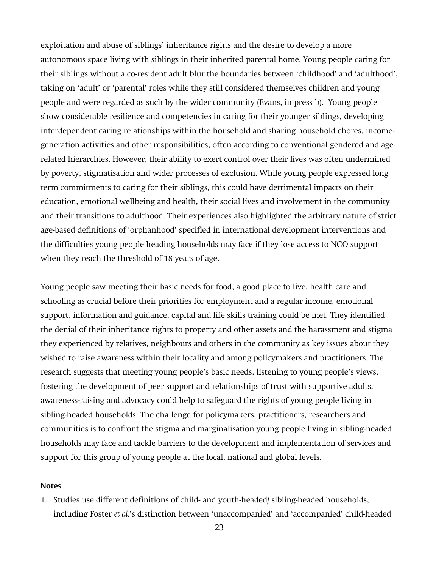exploitation and abuse of siblings' inheritance rights and the desire to develop a more autonomous space living with siblings in their inherited parental home. Young people caring for their siblings without a co-resident adult blur the boundaries between 'childhood' and 'adulthood', taking on 'adult' or 'parental' roles while they still considered themselves children and young people and were regarded as such by the wider community (Evans, in press b). Young people show considerable resilience and competencies in caring for their younger siblings, developing interdependent caring relationships within the household and sharing household chores, incomegeneration activities and other responsibilities, often according to conventional gendered and agerelated hierarchies. However, their ability to exert control over their lives was often undermined by poverty, stigmatisation and wider processes of exclusion. While young people expressed long term commitments to caring for their siblings, this could have detrimental impacts on their education, emotional wellbeing and health, their social lives and involvement in the community and their transitions to adulthood. Their experiences also highlighted the arbitrary nature of strict age-based definitions of 'orphanhood' specified in international development interventions and the difficulties young people heading households may face if they lose access to NGO support when they reach the threshold of 18 years of age.

Young people saw meeting their basic needs for food, a good place to live, health care and schooling as crucial before their priorities for employment and a regular income, emotional support, information and guidance, capital and life skills training could be met. They identified the denial of their inheritance rights to property and other assets and the harassment and stigma they experienced by relatives, neighbours and others in the community as key issues about they wished to raise awareness within their locality and among policymakers and practitioners. The research suggests that meeting young people's basic needs, listening to young people's views, fostering the development of peer support and relationships of trust with supportive adults, awareness-raising and advocacy could help to safeguard the rights of young people living in sibling-headed households. The challenge for policymakers, practitioners, researchers and communities is to confront the stigma and marginalisation young people living in sibling-headed households may face and tackle barriers to the development and implementation of services and support for this group of young people at the local, national and global levels.

### **Notes**

1. Studies use different definitions of child- and youth-headed/ sibling-headed households, including Foster *et al*.'s distinction between 'unaccompanied' and 'accompanied' child-headed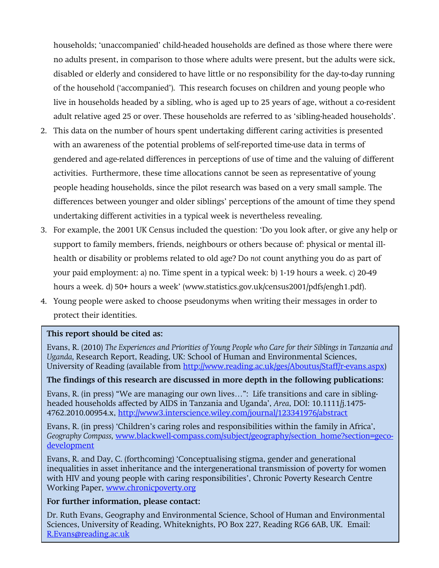households; 'unaccompanied' child-headed households are defined as those where there were no adults present, in comparison to those where adults were present, but the adults were sick, disabled or elderly and considered to have little or no responsibility for the day-to-day running of the household ('accompanied'). This research focuses on children and young people who live in households headed by a sibling, who is aged up to 25 years of age, without a co-resident adult relative aged 25 or over. These households are referred to as 'sibling-headed households'.

- 2. This data on the number of hours spent undertaking different caring activities is presented with an awareness of the potential problems of self-reported time-use data in terms of gendered and age-related differences in perceptions of use of time and the valuing of different activities. Furthermore, these time allocations cannot be seen as representative of young people heading households, since the pilot research was based on a very small sample. The differences between younger and older siblings' perceptions of the amount of time they spend undertaking different activities in a typical week is nevertheless revealing.
- 3. For example, the 2001 UK Census included the question: 'Do you look after, or give any help or support to family members, friends, neighbours or others because of: physical or mental illhealth or disability or problems related to old age? Do *not* count anything you do as part of your paid employment: a) no. Time spent in a typical week: b) 1-19 hours a week. c) 20-49 hours a week. d) 50+ hours a week' (www.statistics.gov.uk/census2001/pdfs/engh1.pdf).
- 4. Young people were asked to choose pseudonyms when writing their messages in order to protect their identities.

### **This report should be cited as:**

Evans, R. (2010) *The Experiences and Priorities of Young People who Care for their Siblings in Tanzania and Uganda,* Research Report, Reading, UK: School of Human and Environmental Sciences, University of Reading (available from [http://www.reading.ac.uk/ges/Aboutus/Staff/r-evans.aspx\)](http://www.reading.ac.uk/ges/Aboutus/Staff/r-evans.aspx)

# **The findings of this research are discussed in more depth in the following publications:**

Evans, R. (in press) 'We are managing our own lives…': Life transitions and care in siblingheaded households affected by AIDS in Tanzania and Uganda', *Area*, DOI: 10.1111/j.1475- 4762.2010.00954.x,<http://www3.interscience.wiley.com/journal/123341976/abstract>

Evans, R. (in press) 'Children's caring roles and responsibilities within the family in Africa', *Geography Compass,* [www.blackwell-compass.com/subject/geography/section\\_home?section=geco](http://www.blackwell-compass.com/subject/geography/section_home?section=geco-development)[development](http://www.blackwell-compass.com/subject/geography/section_home?section=geco-development)

Evans, R. and Day, C. (forthcoming) 'Conceptualising stigma, gender and generational inequalities in asset inheritance and the intergenerational transmission of poverty for women with HIV and young people with caring responsibilities', Chronic Poverty Research Centre Working Paper, [www.chronicpoverty.org](http://www.chronicpoverty.org/)

### **For further information, please contact:**

Sciences, University of Reading, Whiteknights, PO Box 227, Reading RG6 6AB, UK. Email: Dr. Ruth Evans, Geography and Environmental Science, School of Human and Environmental [R.Evans@reading.ac.uk](mailto:R.Evans@reading.ac.uk)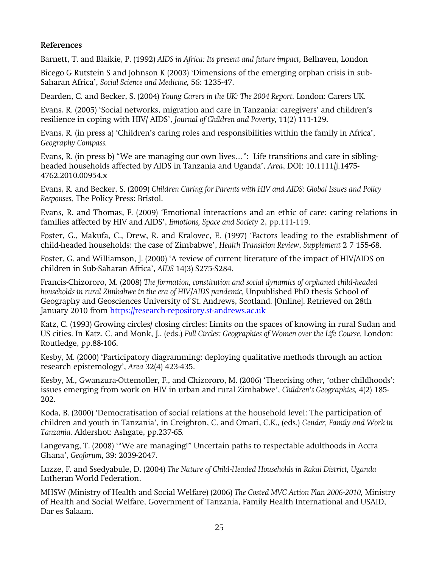# **References**

Barnett, T. and Blaikie, P. (1992) *AIDS in Africa: Its present and future impact,* Belhaven, London

Bicego G Rutstein S and Johnson K (2003) 'Dimensions of the emerging orphan crisis in sub-Saharan Africa', *Social Science and Medicine,* 56: 1235-47.

Dearden, C. and Becker, S. (2004) *Young Carers in the UK: The 2004 Report.* London: Carers UK.

Evans, R. (2005) 'Social networks, migration and care in Tanzania: caregivers' and children's resilience in coping with HIV/ AIDS', *Journal of Children and Poverty,* 11(2) 111-129.

Evans, R. (in press a) 'Children's caring roles and responsibilities within the family in Africa', *Geography Compass.*

Evans, R. (in press b) 'We are managing our own lives…': Life transitions and care in siblingheaded households affected by AIDS in Tanzania and Uganda', *Area*, DOI: 10.1111/j.1475- 4762.2010.00954.x

Evans, R. and Becker, S. (2009) *Children Caring for Parents with HIV and AIDS: Global Issues and Policy Responses,* The Policy Press: Bristol.

Evans, R. and Thomas, F. (2009) 'Emotional interactions and an ethic of care: caring relations in families affected by HIV and AIDS', *Emotions, Space and Society* 2, pp.111-119.

Foster, G., Makufa, C., Drew, R. and Kralovec, E. (1997) 'Factors leading to the establishment of child-headed households: the case of Zimbabwe', *Health Transition Review*, *Supplement* 2 7 155-68.

Foster, G. and Williamson, J. (2000) 'A review of current literature of the impact of HIV/AIDS on children in Sub-Saharan Africa', *AIDS* 14(3) S275-S284.

Francis-Chizororo, M. (2008) *The formation, constitution and social dynamics of orphaned child-headed households in rural Zimbabwe in the era of HIV/AIDS pandemic,* Unpublished PhD thesis School of Geography and Geosciences University of St. Andrews, Scotland. [Online]. Retrieved on 28th January 2010 from https://research-repository.st-andrews.ac.uk

Katz, C. (1993) Growing circles/ closing circles: Limits on the spaces of knowing in rural Sudan and US cities. In Katz, C. and Monk, J., (eds.) *Full Circles: Geographies of Women over the Life Course.* London: Routledge, pp.88-106.

Kesby, M. (2000) 'Participatory diagramming: deploying qualitative methods through an action research epistemology', *Area* 32(4) 423-435.

Kesby, M., Gwanzura-Ottemoller, F., and Chizororo, M. (2006) 'Theorising *other,* 'other childhoods': issues emerging from work on HIV in urban and rural Zimbabwe', *Children's Geographies,* 4(2) 185- 202.

Koda, B. (2000) 'Democratisation of social relations at the household level: The participation of children and youth in Tanzania', in Creighton, C. and Omari, C.K., (eds.) *Gender, Family and Work in Tanzania.* Aldershot: Ashgate, pp.237-65*.*

Langevang, T. (2008) ''We are managing!' Uncertain paths to respectable adulthoods in Accra Ghana', *Geoforum,* 39: 2039-2047.

Luzze, F. and Ssedyabule, D. (2004) *The Nature of Child-Headed Households in Rakai District, Uganda* Lutheran World Federation.

MHSW (Ministry of Health and Social Welfare) (2006) *The Costed MVC Action Plan 2006-2010,* Ministry of Health and Social Welfare, Government of Tanzania, Family Health International and USAID, Dar es Salaam.